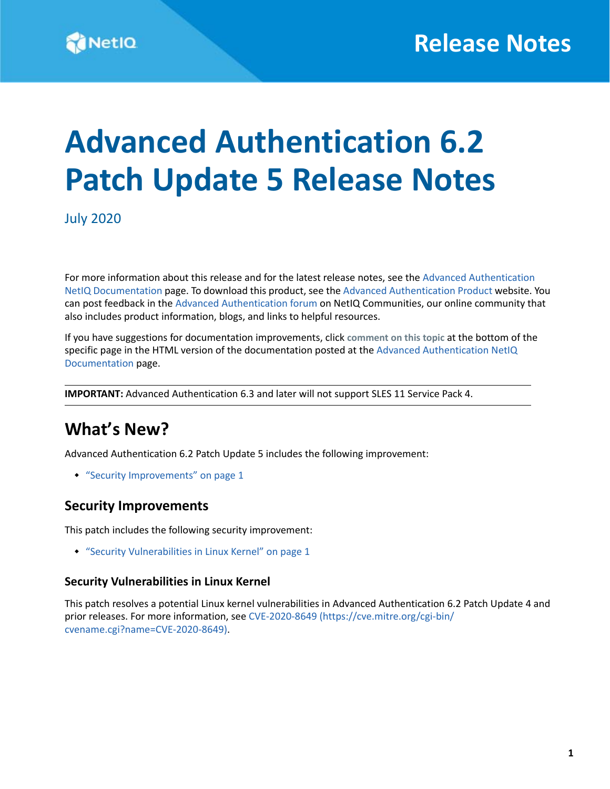# **Advanced Authentication 6.2 Patch Update 5 Release Notes**

July 2020

For more information about this release and for the latest release notes, see the [Advanced Authentication](https://www.netiq.com/documentation/advanced-authentication-62/)  [NetIQ Documentation](https://www.netiq.com/documentation/advanced-authentication-62/) page. To download this product, see the [Advanced Authentication Product](https://www.netiq.com/products/advanced-authentication-framework/) website. You can post feedback in the [Advanced Authentication forum](https://forums.novell.com/forumdisplay.php/1374-Advanced-Authentication) on NetIQ Communities, our online community that also includes product information, blogs, and links to helpful resources.

If you have suggestions for documentation improvements, click **comment on this topic** at the bottom of the specific page in the HTML version of the documentation posted at the [Advanced Authentication NetIQ](https://www.netiq.com/documentation/advanced-authentication-62/)  [Documentation](https://www.netiq.com/documentation/advanced-authentication-62/) page.

**IMPORTANT:** Advanced Authentication 6.3 and later will not support SLES 11 Service Pack 4.

### **What's New?**

Advanced Authentication 6.2 Patch Update 5 includes the following improvement:

["Security Improvements" on page 1](#page-0-1)

### <span id="page-0-1"></span>**Security Improvements**

This patch includes the following security improvement:

["Security Vulnerabilities in Linux Kernel" on page 1](#page-0-0)

#### <span id="page-0-0"></span>**Security Vulnerabilities in Linux Kernel**

This patch resolves a potential Linux kernel vulnerabilities in Advanced Authentication 6.2 Patch Update 4 and prior releases. For more information, see [CVE-2020-8649](https://cve.mitre.org/cgi-bin/cvename.cgi?name=CVE-2020-8649) (https://cve.mitre.org/cgi-bin/ cvename.cgi?name=CVE-2020-8649).